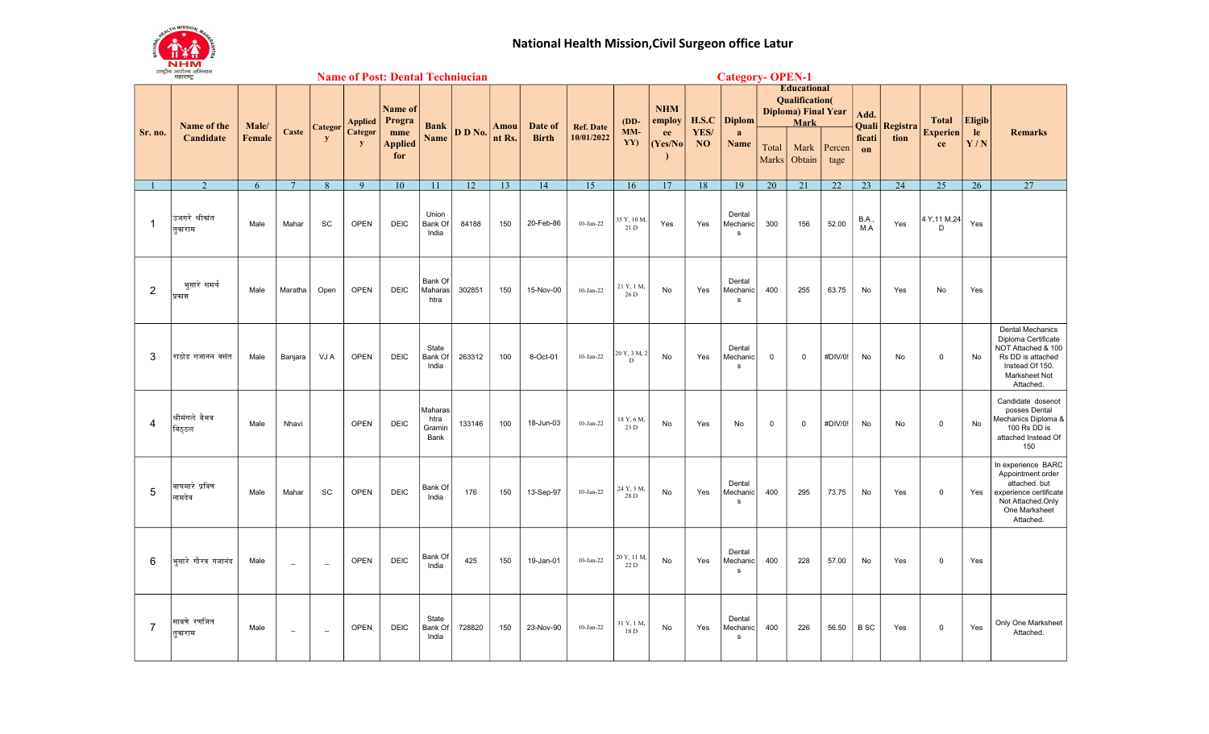

## National Health Mission,Civil Surgeon office Latur

|                | રાષ્ટ્રાથ આરાગ્ય આમથાન<br><b>Name of Post: Dental Techniucian</b><br>महाराष्ट्र |                 |                          |                          |                                           |                                                          |                                   |         |                                           | <b>Category- OPEN-1</b> |                                |                      |                                        |                            |                                          |                                                                                           |                |                |              |                |                    |               |                                                                                                                                            |
|----------------|---------------------------------------------------------------------------------|-----------------|--------------------------|--------------------------|-------------------------------------------|----------------------------------------------------------|-----------------------------------|---------|-------------------------------------------|-------------------------|--------------------------------|----------------------|----------------------------------------|----------------------------|------------------------------------------|-------------------------------------------------------------------------------------------|----------------|----------------|--------------|----------------|--------------------|---------------|--------------------------------------------------------------------------------------------------------------------------------------------|
|                | Name of the<br>Candidate                                                        | Male/<br>Female | Caste                    | <b>Categor</b><br>y      | <b>Applied</b><br>Categor<br>$\mathbf{y}$ | <b>Name of</b><br>Progra<br>mme<br><b>Applied</b><br>for | <b>Bank</b>                       |         | Date of<br>Amou<br>nt Rs.<br><b>Birth</b> |                         | <b>Ref. Date</b><br>10/01/2022 | $(DD-$<br>MM-<br>YY) | <b>NHM</b><br>employ<br>ee<br>(Yes/No) | H.S.C<br>YES/<br><b>NO</b> | <b>Diplom</b><br>a<br>Name               | <b>Educational</b><br><b>Qualification</b> (<br><b>Diploma)</b> Final Year<br><b>Mark</b> |                |                | Add.         | Quali Registra | <b>Total</b>       | <b>Eligib</b> |                                                                                                                                            |
| Sr. no.        |                                                                                 |                 |                          |                          |                                           |                                                          | Name                              | D D No. |                                           |                         |                                |                      |                                        |                            |                                          | Total<br><b>Marks</b>                                                                     | Mark<br>Obtain | Percen<br>tage | ficati<br>on | tion           | Experien<br>ce     | le<br>Y/N     | <b>Remarks</b>                                                                                                                             |
|                | $\overline{2}$                                                                  | 6               | $\overline{7}$           | 8                        | 9                                         | 10                                                       | 11                                | 12      | 13                                        | 14                      | 15                             | 16                   | 17                                     | 18                         | 19                                       | 20                                                                                        | 21             | 22             | 23           | 24             | 25                 | 26            | 27                                                                                                                                         |
|                | उजगरे श्रीकांत<br>तुकाराम                                                       | Male            | Mahar                    | SC                       | <b>OPEN</b>                               | <b>DEIC</b>                                              | Union<br>Bank Of<br>India         | 84188   | 150                                       | 20-Feb-86               | $10$ -Jan-22                   | 35 Y, 10 M,<br>21 D  | Yes                                    | Yes                        | Dental<br>Mechanic <b>I</b><br>${\sf s}$ | 300                                                                                       | 156            | 52.00          | B.A<br>M.A   | Yes            | 4 Y, 11 M, 24<br>D | Yes           |                                                                                                                                            |
| $\overline{2}$ | भुसारे समर्थ<br>प्रकाश                                                          | Male            | Maratha                  | Open                     | <b>OPEN</b>                               | <b>DEIC</b>                                              | Bank Of<br>Maharas<br>htra        | 302851  | 150                                       | 15-Nov-00               | $10-Jan-22$                    | 21 Y, 1 M,<br>26 D   | No                                     | Yes                        | Dental<br>Mechanic<br>${\sf s}$          | 400                                                                                       | 255            | 63.75          | No           | Yes            | No                 | Yes           |                                                                                                                                            |
| 3              | राठोड गजानन वसंत                                                                | Male            | Banjara                  | VJ A                     | <b>OPEN</b>                               | <b>DEIC</b>                                              | State<br>Bank Of<br>India         | 263312  | 100                                       | 8-Oct-01                | $10-Jan-22$                    | 20 Y, 3 M, 2<br>D    | No                                     | Yes                        | Dental<br>Mechanic <b> </b><br>s         | $\mathbf 0$                                                                               | $\mathbf 0$    | #DIV/0!        | No           | No             | $\mathbf 0$        | No            | <b>Dental Mechanics</b><br>Diploma Certificate<br>NOT Attached & 100<br>Rs DD is attached<br>Instead Of 150.<br>Marksheet Not<br>Attached. |
| $\overline{4}$ | श्रीमंगले वैभव<br>विठठल                                                         | Male            | Nhavi                    |                          | <b>OPEN</b>                               | <b>DEIC</b>                                              | Maharas<br>htra<br>Gramin<br>Bank | 133146  | 100                                       | 18-Jun-03               | $10-Jan-22$                    | 18 Y, 6 M,<br>23 D   | No                                     | Yes                        | No                                       | $\mathbf 0$                                                                               | $\overline{0}$ | #DIV/0!        | No           | No             | $\mathbf 0$        | No            | Candidate dosenot<br>posses Dental<br>Mechanics Diploma &<br>100 Rs DD is<br>attached Instead Of<br>150                                    |
| 5              | वाघमारे प्रविण<br>नामदेव                                                        | Male            | Mahar                    | <b>SC</b>                | <b>OPEN</b>                               | <b>DEIC</b>                                              | <b>Bank Of</b><br>India           | 176     | 150                                       | 13-Sep-97               | $10-Jan-22$                    | 24 Y, 3 M,<br>28 D   | No                                     | Yes                        | Dental<br>Mechanic <b> </b><br>s         | 400                                                                                       | 295            | 73.75          | No           | Yes            | $\mathbf 0$        | Yes           | In experience BARC<br>Appointment order<br>attached. but<br>experience certificate<br>Not Attached.Only<br>One Marksheet<br>Attached.      |
| 6              | भसारे गौरव गजानंद                                                               | Male            | $\overline{\phantom{0}}$ | $\overline{\phantom{m}}$ | <b>OPEN</b>                               | <b>DEIC</b>                                              | Bank Of<br>India                  | 425     | 150                                       | 19-Jan-01               | $10-Jan-22$                    | 20 Y, 11 M,<br>22 D  | No                                     | Yes                        | Dental<br>Mechanic <b> </b><br>s         | 400                                                                                       | 228            | 57.00          | No           | Yes            | $\mathbf 0$        | Yes           |                                                                                                                                            |
| $\overline{7}$ | साबणे रणजित<br>तुकाराम                                                          | Male            | L.                       | $\equiv$                 | <b>OPEN</b>                               | <b>DEIC</b>                                              | State<br>Bank Of<br>India         | 728820  | 150                                       | 23-Nov-90               | $10-Jan-22$                    | 31 Y, 1 M,<br>18 D   | No                                     | Yes                        | Dental<br>Mechanic<br>s                  | 400                                                                                       | 226            | 56.50          | B SC         | Yes            | $\mathbf 0$        | Yes           | Only One Marksheet<br>Attached.                                                                                                            |